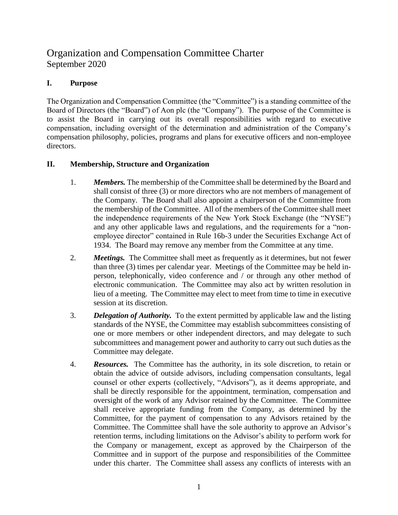## Organization and Compensation Committee Charter September 2020

## **I. Purpose**

The Organization and Compensation Committee (the "Committee") is a standing committee of the Board of Directors (the "Board") of Aon plc (the "Company"). The purpose of the Committee is to assist the Board in carrying out its overall responsibilities with regard to executive compensation, including oversight of the determination and administration of the Company's compensation philosophy, policies, programs and plans for executive officers and non-employee directors.

## **II. Membership, Structure and Organization**

- 1. *Members.* The membership of the Committee shall be determined by the Board and shall consist of three (3) or more directors who are not members of management of the Company. The Board shall also appoint a chairperson of the Committee from the membership of the Committee. All of the members of the Committee shall meet the independence requirements of the New York Stock Exchange (the "NYSE") and any other applicable laws and regulations, and the requirements for a "nonemployee director" contained in Rule 16b-3 under the Securities Exchange Act of 1934. The Board may remove any member from the Committee at any time.
- 2. *Meetings.* The Committee shall meet as frequently as it determines, but not fewer than three (3) times per calendar year. Meetings of the Committee may be held inperson, telephonically, video conference and / or through any other method of electronic communication. The Committee may also act by written resolution in lieu of a meeting. The Committee may elect to meet from time to time in executive session at its discretion.
- 3. *Delegation of Authority.* To the extent permitted by applicable law and the listing standards of the NYSE, the Committee may establish subcommittees consisting of one or more members or other independent directors, and may delegate to such subcommittees and management power and authority to carry out such duties as the Committee may delegate.
- 4. *Resources.* The Committee has the authority, in its sole discretion, to retain or obtain the advice of outside advisors, including compensation consultants, legal counsel or other experts (collectively, "Advisors"), as it deems appropriate, and shall be directly responsible for the appointment, termination, compensation and oversight of the work of any Advisor retained by the Committee. The Committee shall receive appropriate funding from the Company, as determined by the Committee, for the payment of compensation to any Advisors retained by the Committee. The Committee shall have the sole authority to approve an Advisor's retention terms, including limitations on the Advisor's ability to perform work for the Company or management, except as approved by the Chairperson of the Committee and in support of the purpose and responsibilities of the Committee under this charter. The Committee shall assess any conflicts of interests with an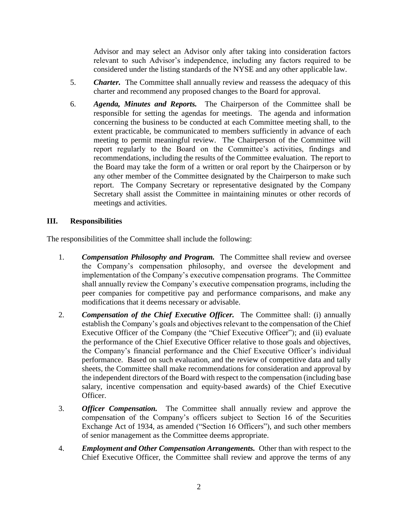Advisor and may select an Advisor only after taking into consideration factors relevant to such Advisor's independence, including any factors required to be considered under the listing standards of the NYSE and any other applicable law.

- 5. *Charter.* The Committee shall annually review and reassess the adequacy of this charter and recommend any proposed changes to the Board for approval.
- 6. *Agenda, Minutes and Reports.* The Chairperson of the Committee shall be responsible for setting the agendas for meetings. The agenda and information concerning the business to be conducted at each Committee meeting shall, to the extent practicable, be communicated to members sufficiently in advance of each meeting to permit meaningful review. The Chairperson of the Committee will report regularly to the Board on the Committee's activities, findings and recommendations, including the results of the Committee evaluation. The report to the Board may take the form of a written or oral report by the Chairperson or by any other member of the Committee designated by the Chairperson to make such report. The Company Secretary or representative designated by the Company Secretary shall assist the Committee in maintaining minutes or other records of meetings and activities.

## **III. Responsibilities**

The responsibilities of the Committee shall include the following:

- 1. *Compensation Philosophy and Program.* The Committee shall review and oversee the Company's compensation philosophy, and oversee the development and implementation of the Company's executive compensation programs. The Committee shall annually review the Company's executive compensation programs, including the peer companies for competitive pay and performance comparisons, and make any modifications that it deems necessary or advisable.
- 2. *Compensation of the Chief Executive Officer.* The Committee shall: (i) annually establish the Company's goals and objectives relevant to the compensation of the Chief Executive Officer of the Company (the "Chief Executive Officer"); and (ii) evaluate the performance of the Chief Executive Officer relative to those goals and objectives, the Company's financial performance and the Chief Executive Officer's individual performance. Based on such evaluation, and the review of competitive data and tally sheets, the Committee shall make recommendations for consideration and approval by the independent directors of the Board with respect to the compensation (including base salary, incentive compensation and equity-based awards) of the Chief Executive Officer.
- 3. *Officer Compensation.* The Committee shall annually review and approve the compensation of the Company's officers subject to Section 16 of the Securities Exchange Act of 1934, as amended ("Section 16 Officers"), and such other members of senior management as the Committee deems appropriate.
- 4. *Employment and Other Compensation Arrangements.* Other than with respect to the Chief Executive Officer, the Committee shall review and approve the terms of any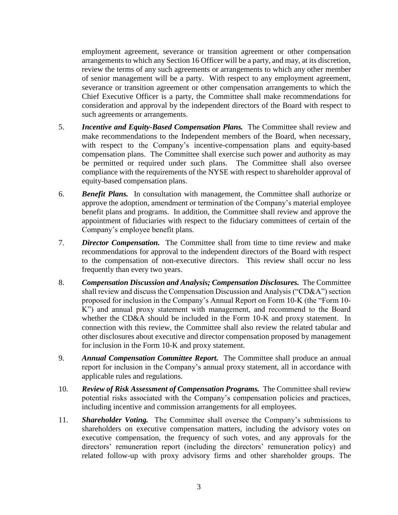employment agreement, severance or transition agreement or other compensation arrangements to which any Section 16 Officer will be a party, and may, at its discretion, review the terms of any such agreements or arrangements to which any other member of senior management will be a party. With respect to any employment agreement, severance or transition agreement or other compensation arrangements to which the Chief Executive Officer is a party, the Committee shall make recommendations for consideration and approval by the independent directors of the Board with respect to such agreements or arrangements.

- 5. *Incentive and Equity-Based Compensation Plans.* The Committee shall review and make recommendations to the Independent members of the Board, when necessary, with respect to the Company's incentive-compensation plans and equity-based compensation plans. The Committee shall exercise such power and authority as may be permitted or required under such plans. The Committee shall also oversee compliance with the requirements of the NYSE with respect to shareholder approval of equity-based compensation plans.
- 6. *Benefit Plans.* In consultation with management, the Committee shall authorize or approve the adoption, amendment or termination of the Company's material employee benefit plans and programs. In addition, the Committee shall review and approve the appointment of fiduciaries with respect to the fiduciary committees of certain of the Company's employee benefit plans.
- 7. *Director Compensation.* The Committee shall from time to time review and make recommendations for approval to the independent directors of the Board with respect to the compensation of non-executive directors. This review shall occur no less frequently than every two years.
- 8. *Compensation Discussion and Analysis; Compensation Disclosures.* The Committee shall review and discuss the Compensation Discussion and Analysis ("CD&A") section proposed for inclusion in the Company's Annual Report on Form 10-K (the "Form 10- K") and annual proxy statement with management, and recommend to the Board whether the CD&A should be included in the Form 10-K and proxy statement. In connection with this review, the Committee shall also review the related tabular and other disclosures about executive and director compensation proposed by management for inclusion in the Form 10-K and proxy statement.
- 9. *Annual Compensation Committee Report.* The Committee shall produce an annual report for inclusion in the Company's annual proxy statement, all in accordance with applicable rules and regulations.
- 10. *Review of Risk Assessment of Compensation Programs.* The Committee shall review potential risks associated with the Company's compensation policies and practices, including incentive and commission arrangements for all employees.
- 11. *Shareholder Voting.* The Committee shall oversee the Company's submissions to shareholders on executive compensation matters, including the advisory votes on executive compensation, the frequency of such votes, and any approvals for the directors' remuneration report (including the directors' remuneration policy) and related follow-up with proxy advisory firms and other shareholder groups. The